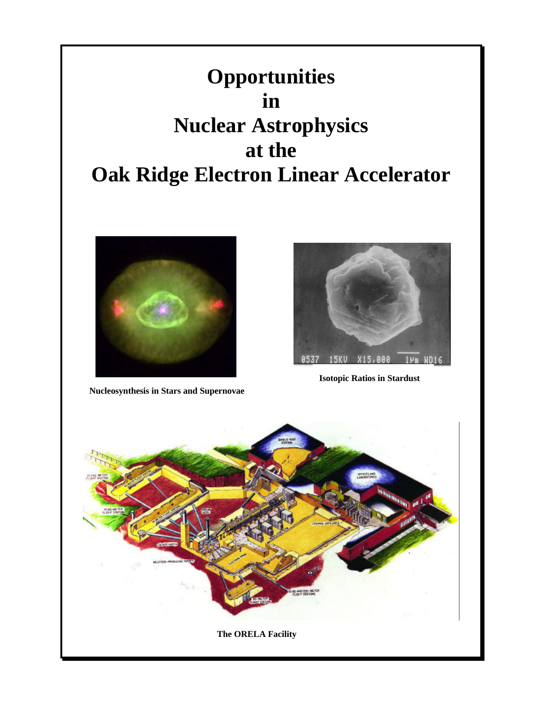



**Nucleosynthesis in Stars and Supernovae**



**Isotopic Ratios in Stardust**

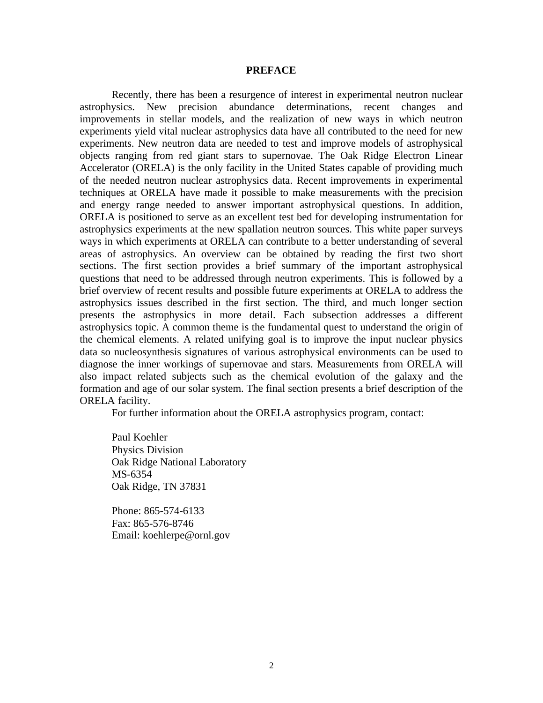## **PREFACE**

Recently, there has been a resurgence of interest in experimental neutron nuclear astrophysics. New precision abundance determinations, recent changes and improvements in stellar models, and the realization of new ways in which neutron experiments yield vital nuclear astrophysics data have all contributed to the need for new experiments. New neutron data are needed to test and improve models of astrophysical objects ranging from red giant stars to supernovae. The Oak Ridge Electron Linear Accelerator (ORELA) is the only facility in the United States capable of providing much of the needed neutron nuclear astrophysics data. Recent improvements in experimental techniques at ORELA have made it possible to make measurements with the precision and energy range needed to answer important astrophysical questions. In addition, ORELA is positioned to serve as an excellent test bed for developing instrumentation for astrophysics experiments at the new spallation neutron sources. This white paper surveys ways in which experiments at ORELA can contribute to a better understanding of several areas of astrophysics. An overview can be obtained by reading the first two short sections. The first section provides a brief summary of the important astrophysical questions that need to be addressed through neutron experiments. This is followed by a brief overview of recent results and possible future experiments at ORELA to address the astrophysics issues described in the first section. The third, and much longer section presents the astrophysics in more detail. Each subsection addresses a different astrophysics topic. A common theme is the fundamental quest to understand the origin of the chemical elements. A related unifying goal is to improve the input nuclear physics data so nucleosynthesis signatures of various astrophysical environments can be used to diagnose the inner workings of supernovae and stars. Measurements from ORELA will also impact related subjects such as the chemical evolution of the galaxy and the formation and age of our solar system. The final section presents a brief description of the ORELA facility.

For further information about the ORELA astrophysics program, contact:

Paul Koehler Physics Division Oak Ridge National Laboratory MS-6354 Oak Ridge, TN 37831

Phone: 865-574-6133 Fax: 865-576-8746 Email: koehlerpe@ornl.gov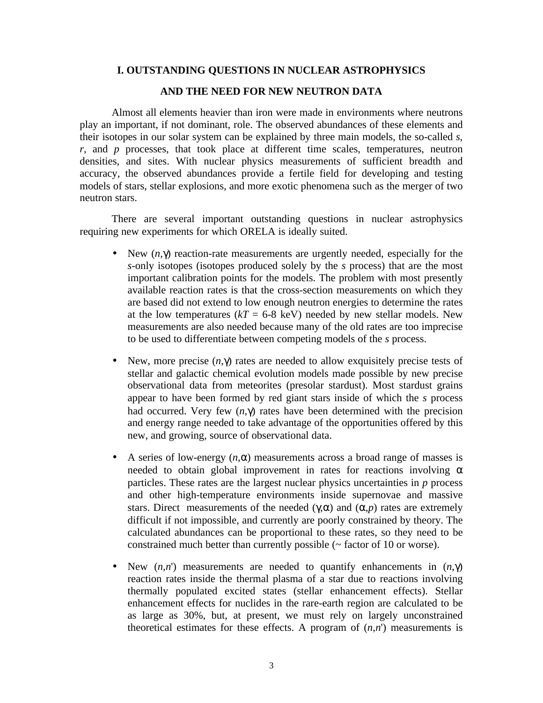## **I. OUTSTANDING QUESTIONS IN NUCLEAR ASTROPHYSICS**

#### **AND THE NEED FOR NEW NEUTRON DATA**

Almost all elements heavier than iron were made in environments where neutrons play an important, if not dominant, role. The observed abundances of these elements and their isotopes in our solar system can be explained by three main models, the so-called *s*, *r*, and *p* processes, that took place at different time scales, temperatures, neutron densities, and sites. With nuclear physics measurements of sufficient breadth and accuracy, the observed abundances provide a fertile field for developing and testing models of stars, stellar explosions, and more exotic phenomena such as the merger of two neutron stars.

There are several important outstanding questions in nuclear astrophysics requiring new experiments for which ORELA is ideally suited.

- New (*n*,γ) reaction-rate measurements are urgently needed, especially for the *s*-only isotopes (isotopes produced solely by the *s* process) that are the most important calibration points for the models. The problem with most presently available reaction rates is that the cross-section measurements on which they are based did not extend to low enough neutron energies to determine the rates at the low temperatures  $(kT = 6-8 \text{ keV})$  needed by new stellar models. New measurements are also needed because many of the old rates are too imprecise to be used to differentiate between competing models of the *s* process.
- New, more precise (*n*,γ) rates are needed to allow exquisitely precise tests of stellar and galactic chemical evolution models made possible by new precise observational data from meteorites (presolar stardust). Most stardust grains appear to have been formed by red giant stars inside of which the *s* process had occurred. Very few (*n*,γ) rates have been determined with the precision and energy range needed to take advantage of the opportunities offered by this new, and growing, source of observational data.
- A series of low-energy  $(n, \alpha)$  measurements across a broad range of masses is needed to obtain global improvement in rates for reactions involving  $\alpha$ particles. These rates are the largest nuclear physics uncertainties in *p* process and other high-temperature environments inside supernovae and massive stars. Direct measurements of the needed  $(\gamma, \alpha)$  and  $(\alpha, p)$  rates are extremely difficult if not impossible, and currently are poorly constrained by theory. The calculated abundances can be proportional to these rates, so they need to be constrained much better than currently possible (~ factor of 10 or worse).
- New  $(n,n')$  measurements are needed to quantify enhancements in  $(n,\gamma)$ reaction rates inside the thermal plasma of a star due to reactions involving thermally populated excited states (stellar enhancement effects). Stellar enhancement effects for nuclides in the rare-earth region are calculated to be as large as 30%, but, at present, we must rely on largely unconstrained theoretical estimates for these effects. A program of  $(n,n)$  measurements is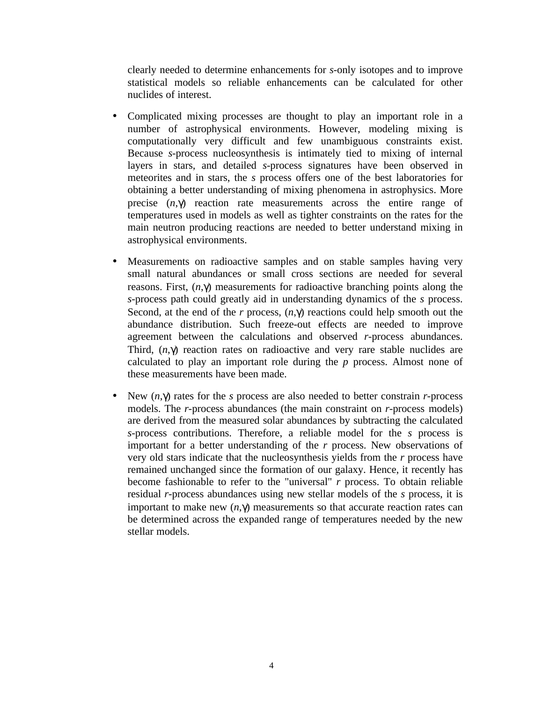clearly needed to determine enhancements for *s*-only isotopes and to improve statistical models so reliable enhancements can be calculated for other nuclides of interest.

- Complicated mixing processes are thought to play an important role in a number of astrophysical environments. However, modeling mixing is computationally very difficult and few unambiguous constraints exist. Because *s*-process nucleosynthesis is intimately tied to mixing of internal layers in stars, and detailed *s*-process signatures have been observed in meteorites and in stars, the *s* process offers one of the best laboratories for obtaining a better understanding of mixing phenomena in astrophysics. More precise (*n*,γ) reaction rate measurements across the entire range of temperatures used in models as well as tighter constraints on the rates for the main neutron producing reactions are needed to better understand mixing in astrophysical environments.
- Measurements on radioactive samples and on stable samples having very small natural abundances or small cross sections are needed for several reasons. First, (*n*,γ) measurements for radioactive branching points along the *s*-process path could greatly aid in understanding dynamics of the *s* process. Second, at the end of the *r* process, (*n*,γ) reactions could help smooth out the abundance distribution. Such freeze-out effects are needed to improve agreement between the calculations and observed *r*-process abundances. Third, (*n*,γ) reaction rates on radioactive and very rare stable nuclides are calculated to play an important role during the *p* process. Almost none of these measurements have been made.
- New (*n*,γ) rates for the *s* process are also needed to better constrain *r*-process models. The *r*-process abundances (the main constraint on *r*-process models) are derived from the measured solar abundances by subtracting the calculated *s*-process contributions. Therefore, a reliable model for the *s* process is important for a better understanding of the *r* process. New observations of very old stars indicate that the nucleosynthesis yields from the *r* process have remained unchanged since the formation of our galaxy. Hence, it recently has become fashionable to refer to the "universal" *r* process. To obtain reliable residual *r*-process abundances using new stellar models of the *s* process, it is important to make new  $(n, \gamma)$  measurements so that accurate reaction rates can be determined across the expanded range of temperatures needed by the new stellar models.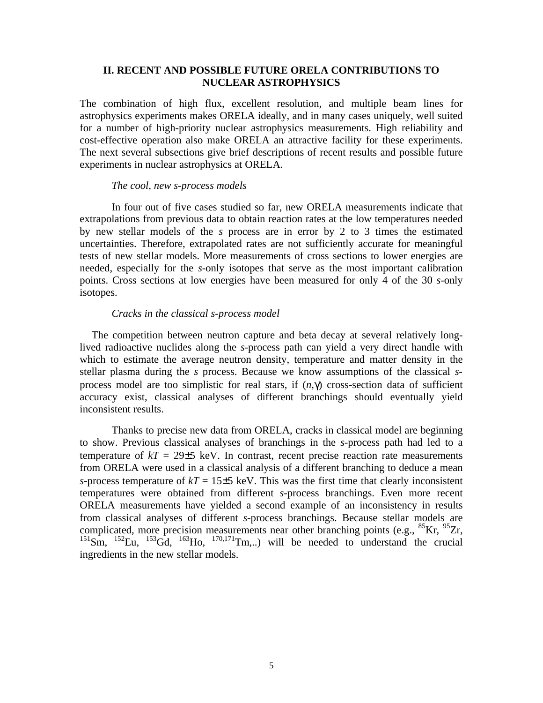# **II. RECENT AND POSSIBLE FUTURE ORELA CONTRIBUTIONS TO NUCLEAR ASTROPHYSICS**

The combination of high flux, excellent resolution, and multiple beam lines for astrophysics experiments makes ORELA ideally, and in many cases uniquely, well suited for a number of high-priority nuclear astrophysics measurements. High reliability and cost-effective operation also make ORELA an attractive facility for these experiments. The next several subsections give brief descriptions of recent results and possible future experiments in nuclear astrophysics at ORELA.

## *The cool, new s-process models*

In four out of five cases studied so far, new ORELA measurements indicate that extrapolations from previous data to obtain reaction rates at the low temperatures needed by new stellar models of the *s* process are in error by 2 to 3 times the estimated uncertainties. Therefore, extrapolated rates are not sufficiently accurate for meaningful tests of new stellar models. More measurements of cross sections to lower energies are needed, especially for the *s*-only isotopes that serve as the most important calibration points. Cross sections at low energies have been measured for only 4 of the 30 *s*-only isotopes.

### *Cracks in the classical s-process model*

The competition between neutron capture and beta decay at several relatively longlived radioactive nuclides along the *s*-process path can yield a very direct handle with which to estimate the average neutron density, temperature and matter density in the stellar plasma during the *s* process. Because we know assumptions of the classical *s*process model are too simplistic for real stars, if (*n*,γ) cross-section data of sufficient accuracy exist, classical analyses of different branchings should eventually yield inconsistent results.

Thanks to precise new data from ORELA, cracks in classical model are beginning to show. Previous classical analyses of branchings in the *s*-process path had led to a temperature of  $kT = 29\pm 5$  keV. In contrast, recent precise reaction rate measurements from ORELA were used in a classical analysis of a different branching to deduce a mean *s*-process temperature of  $kT = 15\pm5$  keV. This was the first time that clearly inconsistent temperatures were obtained from different *s*-process branchings. Even more recent ORELA measurements have yielded a second example of an inconsistency in results from classical analyses of different *s*-process branchings. Because stellar models are complicated, more precision measurements near other branching points (e.g.,  ${}^{85}$ Kr,  ${}^{95}Zr$ ,  $^{151}$ Sm,  $^{152}$ Eu,  $^{153}$ Gd,  $^{163}$ Ho,  $^{170,171}$ Tm,..) will be needed to understand the crucial ingredients in the new stellar models.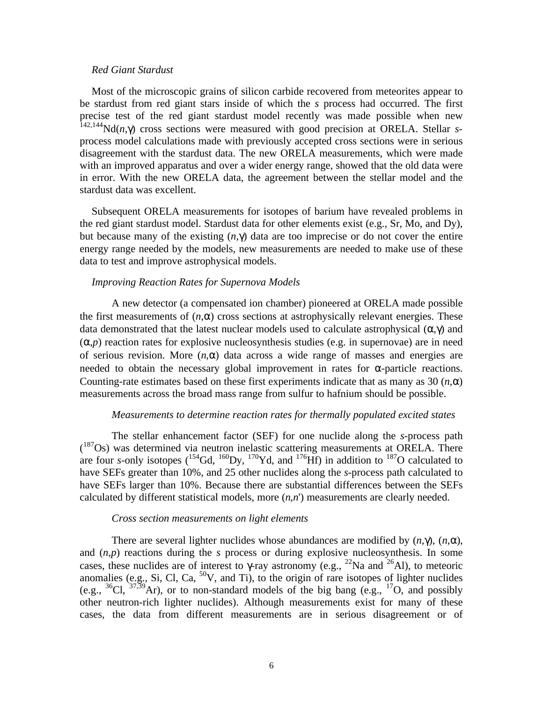### *Red Giant Stardust*

Most of the microscopic grains of silicon carbide recovered from meteorites appear to be stardust from red giant stars inside of which the *s* process had occurred. The first precise test of the red giant stardust model recently was made possible when new 142,144Nd(*n*,γ) cross sections were measured with good precision at ORELA. Stellar *s*process model calculations made with previously accepted cross sections were in serious disagreement with the stardust data. The new ORELA measurements, which were made with an improved apparatus and over a wider energy range, showed that the old data were in error. With the new ORELA data, the agreement between the stellar model and the stardust data was excellent.

Subsequent ORELA measurements for isotopes of barium have revealed problems in the red giant stardust model. Stardust data for other elements exist (e.g., Sr, Mo, and Dy), but because many of the existing (*n*,γ) data are too imprecise or do not cover the entire energy range needed by the models, new measurements are needed to make use of these data to test and improve astrophysical models.

#### *Improving Reaction Rates for Supernova Models*

A new detector (a compensated ion chamber) pioneered at ORELA made possible the first measurements of  $(n, \alpha)$  cross sections at astrophysically relevant energies. These data demonstrated that the latest nuclear models used to calculate astrophysical  $(\alpha, \gamma)$  and  $(\alpha, p)$  reaction rates for explosive nucleosynthesis studies (e.g. in supernovae) are in need of serious revision. More  $(n, \alpha)$  data across a wide range of masses and energies are needed to obtain the necessary global improvement in rates for  $\alpha$ -particle reactions. Counting-rate estimates based on these first experiments indicate that as many as 30  $(n, \alpha)$ measurements across the broad mass range from sulfur to hafnium should be possible.

## *Measurements to determine reaction rates for thermally populated excited states*

The stellar enhancement factor (SEF) for one nuclide along the *s*-process path (<sup>187</sup>Os) was determined via neutron inelastic scattering measurements at ORELA. There are four *s*-only isotopes ( $^{154}$ Gd,  $^{160}$ Dy,  $^{170}$ Yd, and  $^{176}$ Hf) in addition to  $^{187}$ O calculated to have SEFs greater than 10%, and 25 other nuclides along the *s*-process path calculated to have SEFs larger than 10%. Because there are substantial differences between the SEFs calculated by different statistical models, more (*n*,*n*') measurements are clearly needed.

#### *Cross section measurements on light elements*

There are several lighter nuclides whose abundances are modified by  $(n, \gamma)$ ,  $(n, \alpha)$ , and (*n*,*p*) reactions during the *s* process or during explosive nucleosynthesis. In some cases, these nuclides are of interest to  $\gamma$ -ray astronomy (e.g., <sup>22</sup>Na and <sup>26</sup>Al), to meteoric anomalies (e.g., Si, Cl, Ca,  ${}^{50}V$ , and Ti), to the origin of rare isotopes of lighter nuclides (e.g.,  ${}^{36}Cl$ ,  ${}^{37,39}Ar$ ), or to non-standard models of the big bang (e.g.,  ${}^{17}O$ , and possibly other neutron-rich lighter nuclides). Although measurements exist for many of these cases, the data from different measurements are in serious disagreement or of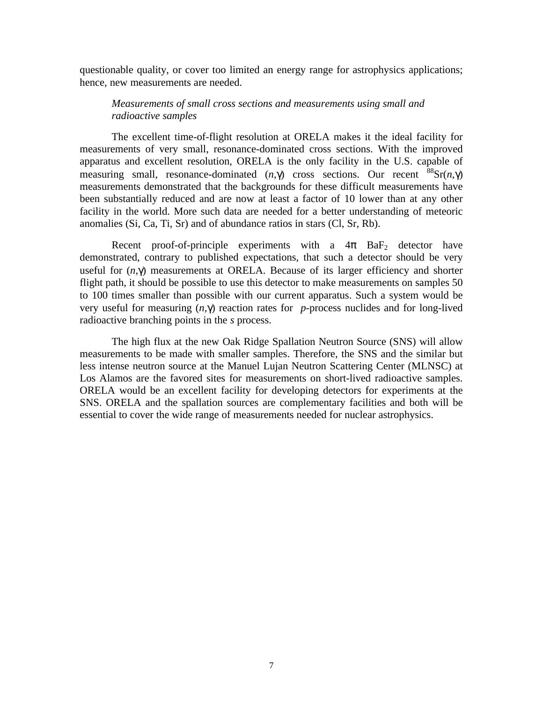questionable quality, or cover too limited an energy range for astrophysics applications; hence, new measurements are needed.

# *Measurements of small cross sections and measurements using small and radioactive samples*

The excellent time-of-flight resolution at ORELA makes it the ideal facility for measurements of very small, resonance-dominated cross sections. With the improved apparatus and excellent resolution, ORELA is the only facility in the U.S. capable of measuring small, resonance-dominated  $(n, \gamma)$  cross sections. Our recent  ${}^{88}Sr(n, \gamma)$ measurements demonstrated that the backgrounds for these difficult measurements have been substantially reduced and are now at least a factor of 10 lower than at any other facility in the world. More such data are needed for a better understanding of meteoric anomalies (Si, Ca, Ti, Sr) and of abundance ratios in stars (Cl, Sr, Rb).

Recent proof-of-principle experiments with a  $4\pi$  BaF<sub>2</sub> detector have demonstrated, contrary to published expectations, that such a detector should be very useful for (*n*,γ) measurements at ORELA. Because of its larger efficiency and shorter flight path, it should be possible to use this detector to make measurements on samples 50 to 100 times smaller than possible with our current apparatus. Such a system would be very useful for measuring (*n*,γ) reaction rates for *p*-process nuclides and for long-lived radioactive branching points in the *s* process.

The high flux at the new Oak Ridge Spallation Neutron Source (SNS) will allow measurements to be made with smaller samples. Therefore, the SNS and the similar but less intense neutron source at the Manuel Lujan Neutron Scattering Center (MLNSC) at Los Alamos are the favored sites for measurements on short-lived radioactive samples. ORELA would be an excellent facility for developing detectors for experiments at the SNS. ORELA and the spallation sources are complementary facilities and both will be essential to cover the wide range of measurements needed for nuclear astrophysics.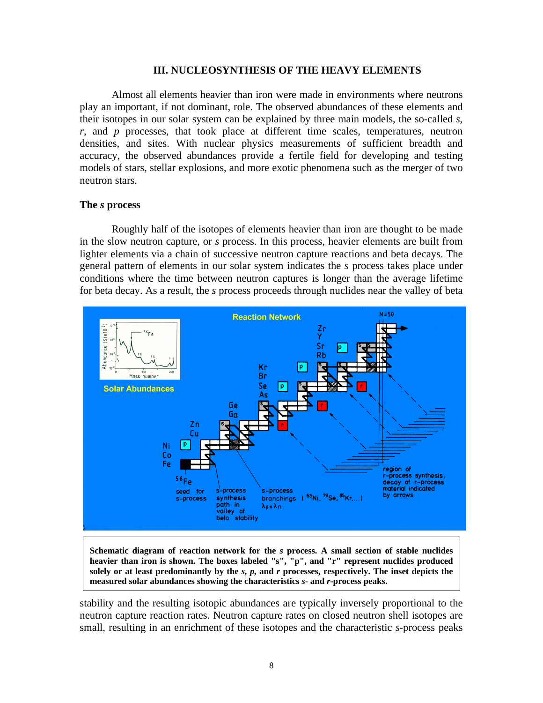## **III. NUCLEOSYNTHESIS OF THE HEAVY ELEMENTS**

Almost all elements heavier than iron were made in environments where neutrons play an important, if not dominant, role. The observed abundances of these elements and their isotopes in our solar system can be explained by three main models, the so-called *s*, *r*, and *p* processes, that took place at different time scales, temperatures, neutron densities, and sites. With nuclear physics measurements of sufficient breadth and accuracy, the observed abundances provide a fertile field for developing and testing models of stars, stellar explosions, and more exotic phenomena such as the merger of two neutron stars.

## **The** *s* **process**

Roughly half of the isotopes of elements heavier than iron are thought to be made in the slow neutron capture, or *s* process. In this process, heavier elements are built from lighter elements via a chain of successive neutron capture reactions and beta decays. The general pattern of elements in our solar system indicates the *s* process takes place under conditions where the time between neutron captures is longer than the average lifetime for beta decay. As a result, the *s* process proceeds through nuclides near the valley of beta



**Schematic diagram of reaction network for the** *s* **process. A small section of stable nuclides heavier than iron is shown. The boxes labeled "s", "p", and "r" represent nuclides produced solely or at least predominantly by the** *s***,** *p***, and** *r* **processes, respectively. The inset depicts the measured solar abundances showing the characteristics** *s***- and** *r***-process peaks.**

stability and the resulting isotopic abundances are typically inversely proportional to the neutron capture reaction rates. Neutron capture rates on closed neutron shell isotopes are small, resulting in an enrichment of these isotopes and the characteristic *s*-process peaks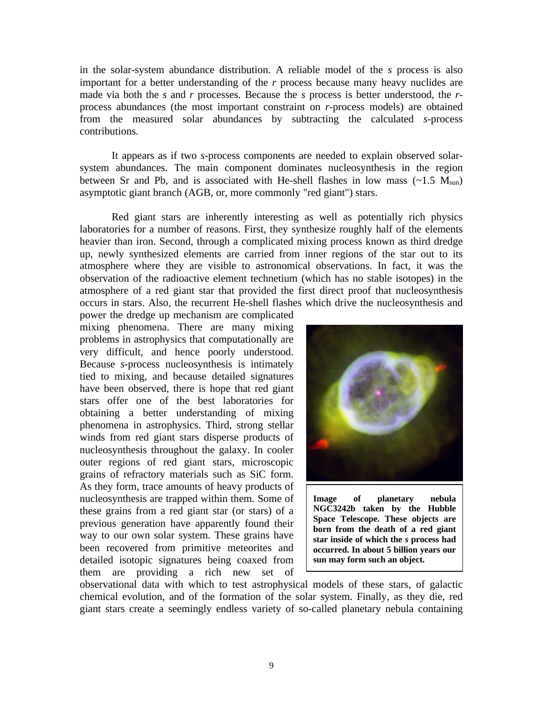in the solar-system abundance distribution. A reliable model of the *s* process is also important for a better understanding of the *r* process because many heavy nuclides are made via both the *s* and *r* processes. Because the *s* process is better understood, the *r*process abundances (the most important constraint on *r*-process models) are obtained from the measured solar abundances by subtracting the calculated *s*-process contributions.

It appears as if two *s*-process components are needed to explain observed solarsystem abundances. The main component dominates nucleosynthesis in the region between Sr and Pb, and is associated with He-shell flashes in low mass  $({\sim}1.5 \text{ M}_{\text{sun}})$ asymptotic giant branch (AGB, or, more commonly "red giant") stars.

Red giant stars are inherently interesting as well as potentially rich physics laboratories for a number of reasons. First, they synthesize roughly half of the elements heavier than iron. Second, through a complicated mixing process known as third dredge up, newly synthesized elements are carried from inner regions of the star out to its atmosphere where they are visible to astronomical observations. In fact, it was the observation of the radioactive element technetium (which has no stable isotopes) in the atmosphere of a red giant star that provided the first direct proof that nucleosynthesis occurs in stars. Also, the recurrent He-shell flashes which drive the nucleosynthesis and

power the dredge up mechanism are complicated mixing phenomena. There are many mixing problems in astrophysics that computationally are very difficult, and hence poorly understood. Because *s*-process nucleosynthesis is intimately tied to mixing, and because detailed signatures have been observed, there is hope that red giant stars offer one of the best laboratories for obtaining a better understanding of mixing phenomena in astrophysics. Third, strong stellar winds from red giant stars disperse products of nucleosynthesis throughout the galaxy. In cooler outer regions of red giant stars, microscopic grains of refractory materials such as SiC form. As they form, trace amounts of heavy products of nucleosynthesis are trapped within them. Some of these grains from a red giant star (or stars) of a previous generation have apparently found their way to our own solar system. These grains have been recovered from primitive meteorites and detailed isotopic signatures being coaxed from them are providing a rich new set of



**Image of planetary nebula NGC3242b taken by the Hubble Space Telescope. These objects are born from the death of a red giant star inside of which the** *s* **process had occurred. In about 5 billion years our sun may form such an object.**

observational data with which to test astrophysical models of these stars, of galactic chemical evolution, and of the formation of the solar system. Finally, as they die, red giant stars create a seemingly endless variety of so-called planetary nebula containing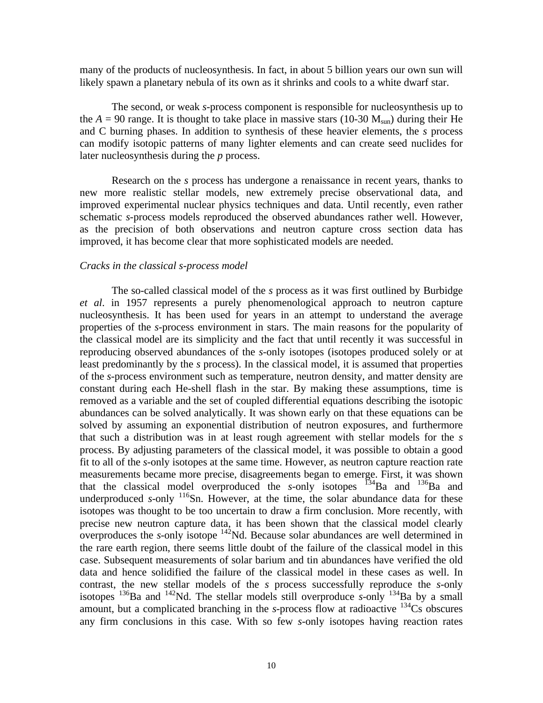many of the products of nucleosynthesis. In fact, in about 5 billion years our own sun will likely spawn a planetary nebula of its own as it shrinks and cools to a white dwarf star.

The second, or weak *s*-process component is responsible for nucleosynthesis up to the  $A = 90$  range. It is thought to take place in massive stars (10-30  $M_{sun}$ ) during their He and C burning phases. In addition to synthesis of these heavier elements, the *s* process can modify isotopic patterns of many lighter elements and can create seed nuclides for later nucleosynthesis during the *p* process.

Research on the *s* process has undergone a renaissance in recent years, thanks to new more realistic stellar models, new extremely precise observational data, and improved experimental nuclear physics techniques and data. Until recently, even rather schematic *s*-process models reproduced the observed abundances rather well. However, as the precision of both observations and neutron capture cross section data has improved, it has become clear that more sophisticated models are needed.

#### *Cracks in the classical s-process model*

The so-called classical model of the *s* process as it was first outlined by Burbidge *et al*. in 1957 represents a purely phenomenological approach to neutron capture nucleosynthesis. It has been used for years in an attempt to understand the average properties of the *s*-process environment in stars. The main reasons for the popularity of the classical model are its simplicity and the fact that until recently it was successful in reproducing observed abundances of the *s*-only isotopes (isotopes produced solely or at least predominantly by the *s* process). In the classical model, it is assumed that properties of the *s*-process environment such as temperature, neutron density, and matter density are constant during each He-shell flash in the star. By making these assumptions, time is removed as a variable and the set of coupled differential equations describing the isotopic abundances can be solved analytically. It was shown early on that these equations can be solved by assuming an exponential distribution of neutron exposures, and furthermore that such a distribution was in at least rough agreement with stellar models for the *s* process. By adjusting parameters of the classical model, it was possible to obtain a good fit to all of the *s*-only isotopes at the same time. However, as neutron capture reaction rate measurements became more precise, disagreements began to emerge. First, it was shown that the classical model overproduced the  $s$ -only isotopes  $134$ Ba and  $136$ Ba and underproduced *s*-only  $116$ Sn. However, at the time, the solar abundance data for these isotopes was thought to be too uncertain to draw a firm conclusion. More recently, with precise new neutron capture data, it has been shown that the classical model clearly overproduces the *s*-only isotope  $142$ Nd. Because solar abundances are well determined in the rare earth region, there seems little doubt of the failure of the classical model in this case. Subsequent measurements of solar barium and tin abundances have verified the old data and hence solidified the failure of the classical model in these cases as well. In contrast, the new stellar models of the *s* process successfully reproduce the *s*-only isotopes  $^{136}$ Ba and  $^{142}$ Nd. The stellar models still overproduce *s*-only  $^{134}$ Ba by a small amount, but a complicated branching in the *s*-process flow at radioactive  $134$ Cs obscures any firm conclusions in this case. With so few *s*-only isotopes having reaction rates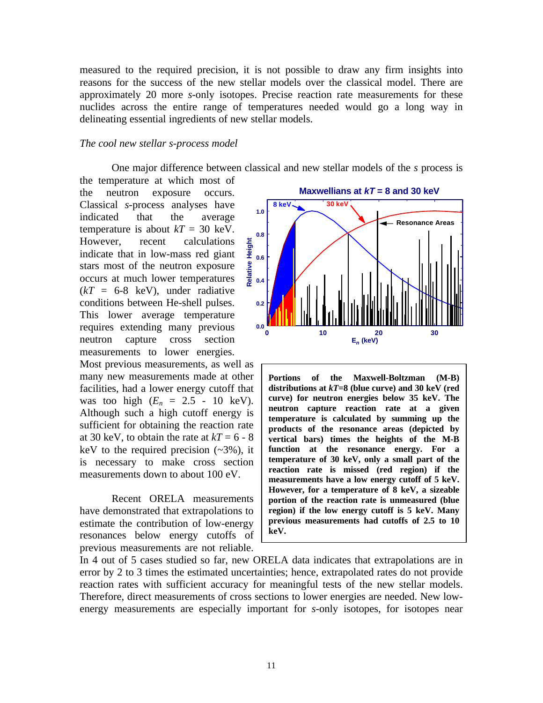measured to the required precision, it is not possible to draw any firm insights into reasons for the success of the new stellar models over the classical model. There are approximately 20 more *s*-only isotopes. Precise reaction rate measurements for these nuclides across the entire range of temperatures needed would go a long way in delineating essential ingredients of new stellar models.

## *The cool new stellar s-process model*

One major difference between classical and new stellar models of the *s* process is

the temperature at which most of the neutron exposure occurs. Classical *s*-process analyses have indicated that the average temperature is about  $kT = 30$  keV. However, recent calculations indicate that in low-mass red giant stars most of the neutron exposure occurs at much lower temperatures  $(kT = 6-8$  keV), under radiative conditions between He-shell pulses. This lower average temperature requires extending many previous neutron capture cross section measurements to lower energies.

Most previous measurements, as well as many new measurements made at other facilities, had a lower energy cutoff that was too high  $(E_n = 2.5 - 10 \text{ keV})$ . Although such a high cutoff energy is sufficient for obtaining the reaction rate at 30 keV, to obtain the rate at  $kT = 6 - 8$ keV to the required precision  $(-3\%)$ , it is necessary to make cross section measurements down to about 100 eV.

Recent ORELA measurements have demonstrated that extrapolations to estimate the contribution of low-energy resonances below energy cutoffs of previous measurements are not reliable.



**Portions of the Maxwell-Boltzman (M-B) distributions at** *kT***=8 (blue curve) and 30 keV (red curve) for neutron energies below 35 keV. The neutron capture reaction rate at a given temperature is calculated by summing up the products of the resonance areas (depicted by vertical bars) times the heights of the M-B function at the resonance energy. For a temperature of 30 keV, only a small part of the reaction rate is missed (red region) if the measurements have a low energy cutoff of 5 keV. However, for a temperature of 8 keV, a sizeable portion of the reaction rate is unmeasured (blue region) if the low energy cutoff is 5 keV. Many previous measurements had cutoffs of 2.5 to 10 keV.**

In 4 out of 5 cases studied so far, new ORELA data indicates that extrapolations are in error by 2 to 3 times the estimated uncertainties; hence, extrapolated rates do not provide reaction rates with sufficient accuracy for meaningful tests of the new stellar models. Therefore, direct measurements of cross sections to lower energies are needed. New lowenergy measurements are especially important for *s*-only isotopes, for isotopes near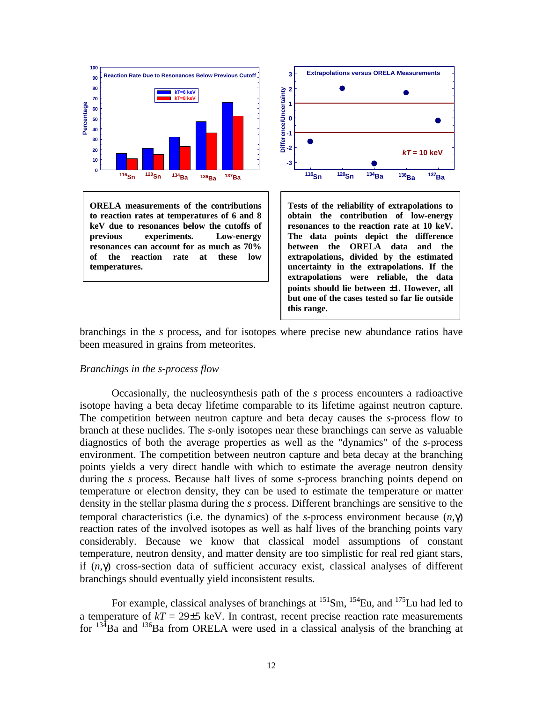

**ORELA measurements of the contributions to reaction rates at temperatures of 6 and 8 keV due to resonances below the cutoffs of previous experiments. Low-energy resonances can account for as much as 70% of the reaction rate at these low temperatures.**



**Tests of the reliability of extrapolations to obtain the contribution of low-energy resonances to the reaction rate at 10 keV. The data points depict the difference between the ORELA data and the extrapolations, divided by the estimated uncertainty in the extrapolations. If the extrapolations were reliable, the data points should lie between** ±**1. However, all but one of the cases tested so far lie outside this range.**

branchings in the *s* process, and for isotopes where precise new abundance ratios have been measured in grains from meteorites.

## *Branchings in the s-process flow*

Occasionally, the nucleosynthesis path of the *s* process encounters a radioactive isotope having a beta decay lifetime comparable to its lifetime against neutron capture. The competition between neutron capture and beta decay causes the *s*-process flow to branch at these nuclides. The *s*-only isotopes near these branchings can serve as valuable diagnostics of both the average properties as well as the "dynamics" of the *s*-process environment. The competition between neutron capture and beta decay at the branching points yields a very direct handle with which to estimate the average neutron density during the *s* process. Because half lives of some *s*-process branching points depend on temperature or electron density, they can be used to estimate the temperature or matter density in the stellar plasma during the *s* process. Different branchings are sensitive to the temporal characteristics (i.e. the dynamics) of the *s*-process environment because (*n*,γ) reaction rates of the involved isotopes as well as half lives of the branching points vary considerably. Because we know that classical model assumptions of constant temperature, neutron density, and matter density are too simplistic for real red giant stars, if (*n*,γ) cross-section data of sufficient accuracy exist, classical analyses of different branchings should eventually yield inconsistent results.

For example, classical analyses of branchings at  $^{151}$ Sm,  $^{154}$ Eu, and  $^{175}$ Lu had led to a temperature of  $kT = 29\pm 5$  keV. In contrast, recent precise reaction rate measurements for  $134\text{Ba}$  and  $136\text{Ba}$  from ORELA were used in a classical analysis of the branching at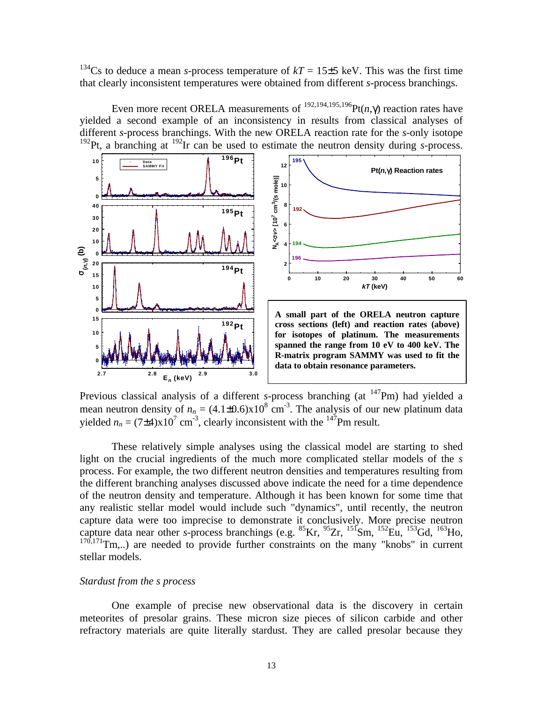<sup>134</sup>Cs to deduce a mean *s*-process temperature of  $kT = 15\pm5$  keV. This was the first time that clearly inconsistent temperatures were obtained from different *s*-process branchings.

Even more recent ORELA measurements of  $^{192,194,195,196}$ Pt(*n*,γ) reaction rates have yielded a second example of an inconsistency in results from classical analyses of different *s*-process branchings. With the new ORELA reaction rate for the *s*-only isotope <sup>192</sup>Pt, a branching at <sup>192</sup>Ir can be used to estimate the neutron density during *s*-process.



Previous classical analysis of a different *s*-process branching (at <sup>147</sup>Pm) had yielded a mean neutron density of  $n_n = (4.1 \pm 0.6) \times 10^8$  cm<sup>-3</sup>. The analysis of our new platinum data yielded  $n_n = (7 \pm 4) \times 10^7$  cm<sup>-3</sup>, clearly inconsistent with the <sup>147</sup>Pm result.

These relatively simple analyses using the classical model are starting to shed light on the crucial ingredients of the much more complicated stellar models of the *s* process. For example, the two different neutron densities and temperatures resulting from the different branching analyses discussed above indicate the need for a time dependence of the neutron density and temperature. Although it has been known for some time that any realistic stellar model would include such "dynamics", until recently, the neutron capture data were too imprecise to demonstrate it conclusively. More precise neutron capture data near other *s*-process branchings (e.g.  ${}^{85}$ Kr,  ${}^{95}Zr$ ,  ${}^{151}$ Sm,  ${}^{152}Eu$ ,  ${}^{153}Gd$ ,  ${}^{163}$ Ho,  $170,171$ Tm,..) are needed to provide further constraints on the many "knobs" in current stellar models.

## *Stardust from the s process*

One example of precise new observational data is the discovery in certain meteorites of presolar grains. These micron size pieces of silicon carbide and other refractory materials are quite literally stardust. They are called presolar because they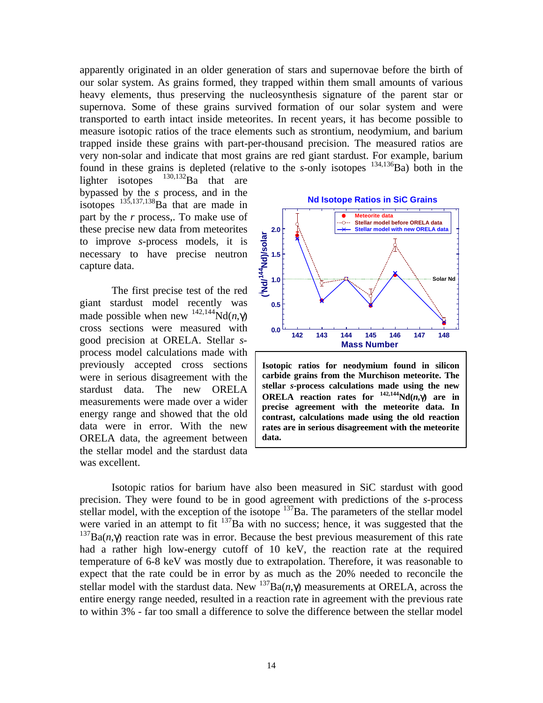apparently originated in an older generation of stars and supernovae before the birth of our solar system. As grains formed, they trapped within them small amounts of various heavy elements, thus preserving the nucleosynthesis signature of the parent star or supernova. Some of these grains survived formation of our solar system and were transported to earth intact inside meteorites. In recent years, it has become possible to measure isotopic ratios of the trace elements such as strontium, neodymium, and barium trapped inside these grains with part-per-thousand precision. The measured ratios are very non-solar and indicate that most grains are red giant stardust. For example, barium found in these grains is depleted (relative to the  $s$ -only isotopes  $^{134,136}$ Ba) both in the

lighter isotopes  $^{130,132}Ba$  that are bypassed by the *s* process, and in the isotopes  $^{135,137,138}$ Ba that are made in part by the *r* process,. To make use of these precise new data from meteorites to improve *s*-process models, it is necessary to have precise neutron capture data.

The first precise test of the red giant stardust model recently was made possible when new  $^{142,144}$ Nd(*n*,γ) cross sections were measured with good precision at ORELA. Stellar *s*process model calculations made with previously accepted cross sections were in serious disagreement with the stardust data. The new ORELA measurements were made over a wider energy range and showed that the old data were in error. With the new ORELA data, the agreement between the stellar model and the stardust data was excellent.



**Isotopic ratios for neodymium found in silicon carbide grains from the Murchison meteorite. The stellar** *s***-process calculations made using the new ORELA** reaction rates for  $\frac{142,144}{14}Nd(n,\gamma)$  are in **precise agreement with the meteorite data. In contrast, calculations made using the old reaction rates are in serious disagreement with the meteorite data.**

Isotopic ratios for barium have also been measured in SiC stardust with good precision. They were found to be in good agreement with predictions of the *s*-process stellar model, with the exception of the isotope  $137$ Ba. The parameters of the stellar model were varied in an attempt to fit  $137$ Ba with no success; hence, it was suggested that the <sup>137</sup>Ba( $n$ ,γ) reaction rate was in error. Because the best previous measurement of this rate had a rather high low-energy cutoff of 10 keV, the reaction rate at the required temperature of 6-8 keV was mostly due to extrapolation. Therefore, it was reasonable to expect that the rate could be in error by as much as the 20% needed to reconcile the stellar model with the stardust data. New  $^{137}Ba(n,\gamma)$  measurements at ORELA, across the entire energy range needed, resulted in a reaction rate in agreement with the previous rate to within 3% - far too small a difference to solve the difference between the stellar model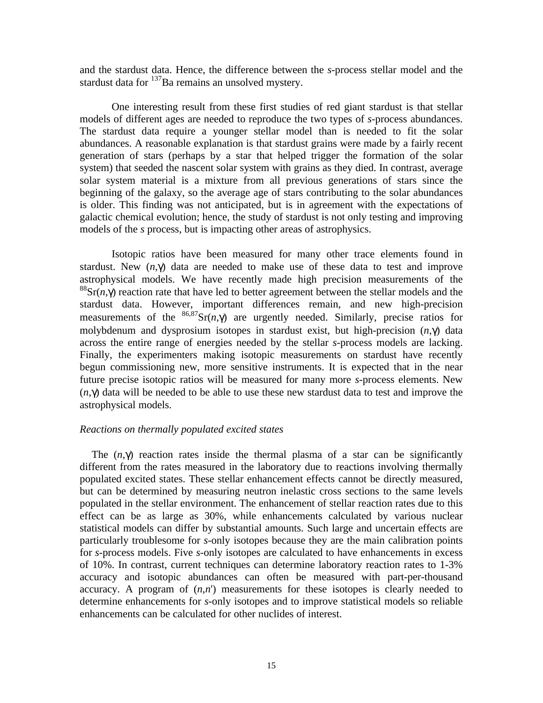and the stardust data. Hence, the difference between the *s*-process stellar model and the stardust data for <sup>137</sup>Ba remains an unsolved mystery.

One interesting result from these first studies of red giant stardust is that stellar models of different ages are needed to reproduce the two types of *s*-process abundances. The stardust data require a younger stellar model than is needed to fit the solar abundances. A reasonable explanation is that stardust grains were made by a fairly recent generation of stars (perhaps by a star that helped trigger the formation of the solar system) that seeded the nascent solar system with grains as they died. In contrast, average solar system material is a mixture from all previous generations of stars since the beginning of the galaxy, so the average age of stars contributing to the solar abundances is older. This finding was not anticipated, but is in agreement with the expectations of galactic chemical evolution; hence, the study of stardust is not only testing and improving models of the *s* process, but is impacting other areas of astrophysics.

Isotopic ratios have been measured for many other trace elements found in stardust. New  $(n, \gamma)$  data are needed to make use of these data to test and improve astrophysical models. We have recently made high precision measurements of the  ${}^{88}Sr(n, \gamma)$  reaction rate that have led to better agreement between the stellar models and the stardust data. However, important differences remain, and new high-precision measurements of the  ${}^{86,87}Sr(n,\gamma)$  are urgently needed. Similarly, precise ratios for molybdenum and dysprosium isotopes in stardust exist, but high-precision (*n*,γ) data across the entire range of energies needed by the stellar *s*-process models are lacking. Finally, the experimenters making isotopic measurements on stardust have recently begun commissioning new, more sensitive instruments. It is expected that in the near future precise isotopic ratios will be measured for many more *s*-process elements. New (*n*,γ) data will be needed to be able to use these new stardust data to test and improve the astrophysical models.

## *Reactions on thermally populated excited states*

The  $(n, \gamma)$  reaction rates inside the thermal plasma of a star can be significantly different from the rates measured in the laboratory due to reactions involving thermally populated excited states. These stellar enhancement effects cannot be directly measured, but can be determined by measuring neutron inelastic cross sections to the same levels populated in the stellar environment. The enhancement of stellar reaction rates due to this effect can be as large as 30%, while enhancements calculated by various nuclear statistical models can differ by substantial amounts. Such large and uncertain effects are particularly troublesome for *s*-only isotopes because they are the main calibration points for *s*-process models. Five *s*-only isotopes are calculated to have enhancements in excess of 10%. In contrast, current techniques can determine laboratory reaction rates to 1-3% accuracy and isotopic abundances can often be measured with part-per-thousand accuracy. A program of (*n*,*n*') measurements for these isotopes is clearly needed to determine enhancements for *s*-only isotopes and to improve statistical models so reliable enhancements can be calculated for other nuclides of interest.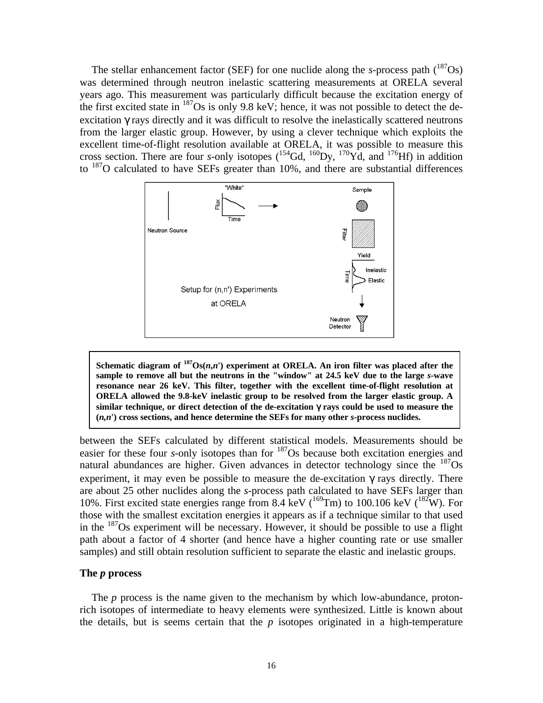The stellar enhancement factor (SEF) for one nuclide along the *s*-process path  $\binom{187}{9}$ was determined through neutron inelastic scattering measurements at ORELA several years ago. This measurement was particularly difficult because the excitation energy of the first excited state in <sup>187</sup>Os is only 9.8 keV; hence, it was not possible to detect the deexcitation γ rays directly and it was difficult to resolve the inelastically scattered neutrons from the larger elastic group. However, by using a clever technique which exploits the excellent time-of-flight resolution available at ORELA, it was possible to measure this cross section. There are four *s*-only isotopes  $({}^{154}Gd, {}^{160}Dy, {}^{170}Yd,$  and  ${}^{176}Hf$ ) in addition to <sup>187</sup>O calculated to have SEFs greater than 10%, and there are substantial differences



Schematic diagram of  $^{187}$ Os( $n,n'$ ) experiment at ORELA. An iron filter was placed after the **sample to remove all but the neutrons in the "window" at 24.5 keV due to the large** *s***-wave resonance near 26 keV. This filter, together with the excellent time-of-flight resolution at ORELA allowed the 9.8-keV inelastic group to be resolved from the larger elastic group. A similar technique, or direct detection of the de-excitation** γ **rays could be used to measure the (***n,n***') cross sections, and hence determine the SEFs for many other** *s***-process nuclides.**

between the SEFs calculated by different statistical models. Measurements should be easier for these four *s*-only isotopes than for <sup>187</sup>Os because both excitation energies and natural abundances are higher. Given advances in detector technology since the  $^{187}Os$ experiment, it may even be possible to measure the de-excitation  $\gamma$  rays directly. There are about 25 other nuclides along the *s*-process path calculated to have SEFs larger than 10%. First excited state energies range from 8.4 keV ( $^{169}$ Tm) to 100.106 keV ( $^{182}$ W). For those with the smallest excitation energies it appears as if a technique similar to that used in the  $187\text{Os experiment}$  will be necessary. However, it should be possible to use a flight path about a factor of 4 shorter (and hence have a higher counting rate or use smaller samples) and still obtain resolution sufficient to separate the elastic and inelastic groups.

## **The** *p* **process**

The *p* process is the name given to the mechanism by which low-abundance, protonrich isotopes of intermediate to heavy elements were synthesized. Little is known about the details, but is seems certain that the *p* isotopes originated in a high-temperature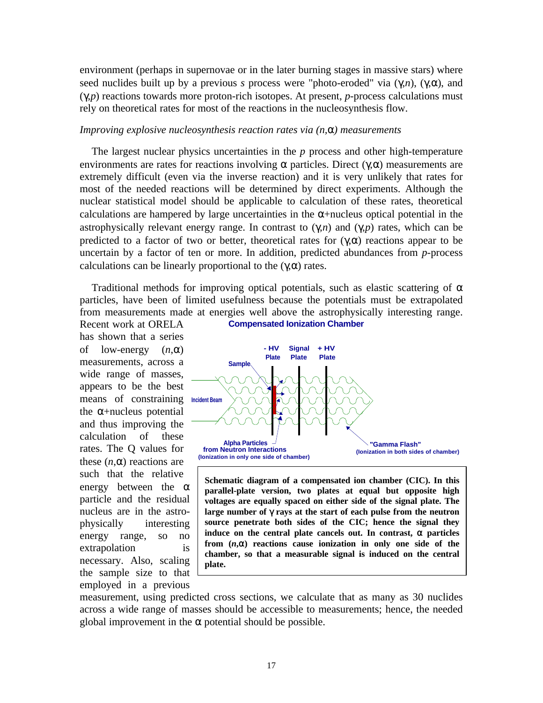environment (perhaps in supernovae or in the later burning stages in massive stars) where seed nuclides built up by a previous *s* process were "photo-eroded" via  $(\gamma, n)$ ,  $(\gamma, \alpha)$ , and (γ,*p*) reactions towards more proton-rich isotopes. At present, *p*-process calculations must rely on theoretical rates for most of the reactions in the nucleosynthesis flow.

## *Improving explosive nucleosynthesis reaction rates via (n,*α*) measurements*

The largest nuclear physics uncertainties in the *p* process and other high-temperature environments are rates for reactions involving  $\alpha$  particles. Direct ( $\gamma, \alpha$ ) measurements are extremely difficult (even via the inverse reaction) and it is very unlikely that rates for most of the needed reactions will be determined by direct experiments. Although the nuclear statistical model should be applicable to calculation of these rates, theoretical calculations are hampered by large uncertainties in the  $\alpha$ +nucleus optical potential in the astrophysically relevant energy range. In contrast to (γ,*n*) and (γ,*p*) rates, which can be predicted to a factor of two or better, theoretical rates for  $(\gamma,\alpha)$  reactions appear to be uncertain by a factor of ten or more. In addition, predicted abundances from *p*-process calculations can be linearly proportional to the  $(\gamma,\alpha)$  rates.

Traditional methods for improving optical potentials, such as elastic scattering of  $\alpha$ particles, have been of limited usefulness because the potentials must be extrapolated from measurements made at energies well above the astrophysically interesting range.

means of constraining **Incident Beam** Recent work at ORELA has shown that a series of low-energy (*n*,α) measurements, across a wide range of masses, appears to be the best the  $\alpha$ +nucleus potential and thus improving the calculation of these rates. The Q values for these  $(n, \alpha)$  reactions are such that the relative energy between the  $\alpha$ particle and the residual nucleus are in the astrophysically interesting energy range, so no extrapolation is necessary. Also, scaling the sample size to that employed in a previous





**Schematic diagram of a compensated ion chamber (CIC). In this parallel-plate version, two plates at equal but opposite high voltages are equally spaced on either side of the signal plate. The large number of** γ **rays at the start of each pulse from the neutron source penetrate both sides of the CIC; hence the signal they induce on the central plate cancels out. In contrast,**  $\alpha$  **particles from (***n***,**α**) reactions cause ionization in only one side of the chamber, so that a measurable signal is induced on the central plate.**

measurement, using predicted cross sections, we calculate that as many as 30 nuclides across a wide range of masses should be accessible to measurements; hence, the needed global improvement in the  $\alpha$  potential should be possible.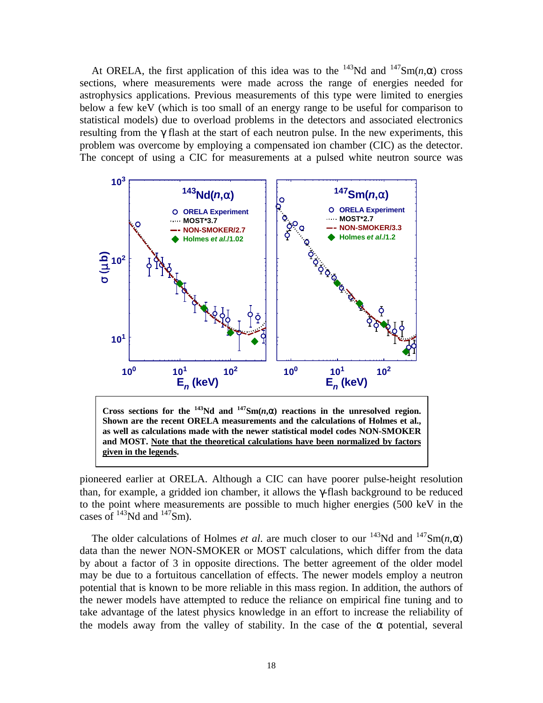At ORELA, the first application of this idea was to the <sup>143</sup>Nd and <sup>147</sup>Sm(*n*, $\alpha$ ) cross sections, where measurements were made across the range of energies needed for astrophysics applications. Previous measurements of this type were limited to energies below a few keV (which is too small of an energy range to be useful for comparison to statistical models) due to overload problems in the detectors and associated electronics resulting from the γ flash at the start of each neutron pulse. In the new experiments, this problem was overcome by employing a compensated ion chamber (CIC) as the detector. The concept of using a CIC for measurements at a pulsed white neutron source was



pioneered earlier at ORELA. Although a CIC can have poorer pulse-height resolution **given in the legends.**

than, for example, a gridded ion chamber, it allows the γ-flash background to be reduced to the point where measurements are possible to much higher energies (500 keV in the cases of  $^{143}$ Nd and  $^{147}$ Sm).

The older calculations of Holmes *et al.* are much closer to our  $^{143}$ Nd and  $^{147}$ Sm(*n*, $\alpha$ ) data than the newer NON-SMOKER or MOST calculations, which differ from the data by about a factor of 3 in opposite directions. The better agreement of the older model may be due to a fortuitous cancellation of effects. The newer models employ a neutron potential that is known to be more reliable in this mass region. In addition, the authors of the newer models have attempted to reduce the reliance on empirical fine tuning and to take advantage of the latest physics knowledge in an effort to increase the reliability of the models away from the valley of stability. In the case of the  $\alpha$  potential, several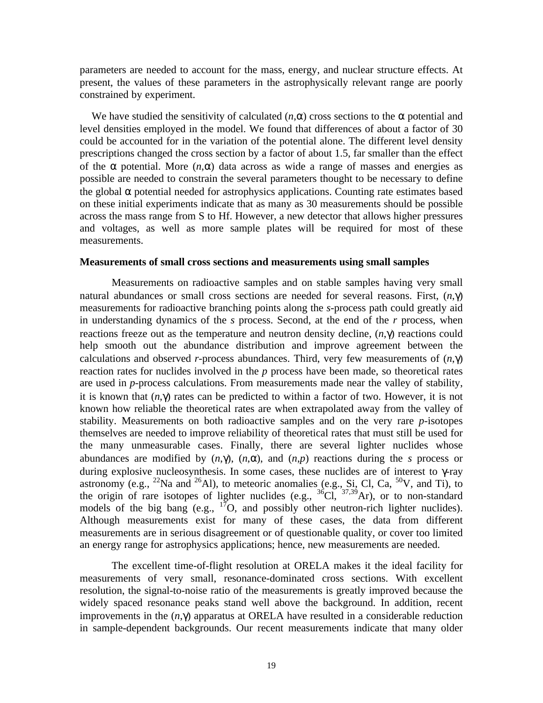parameters are needed to account for the mass, energy, and nuclear structure effects. At present, the values of these parameters in the astrophysically relevant range are poorly constrained by experiment.

We have studied the sensitivity of calculated  $(n, \alpha)$  cross sections to the  $\alpha$  potential and level densities employed in the model. We found that differences of about a factor of 30 could be accounted for in the variation of the potential alone. The different level density prescriptions changed the cross section by a factor of about 1.5, far smaller than the effect of the  $\alpha$  potential. More  $(n, \alpha)$  data across as wide a range of masses and energies as possible are needed to constrain the several parameters thought to be necessary to define the global  $\alpha$  potential needed for astrophysics applications. Counting rate estimates based on these initial experiments indicate that as many as 30 measurements should be possible across the mass range from S to Hf. However, a new detector that allows higher pressures and voltages, as well as more sample plates will be required for most of these measurements.

#### **Measurements of small cross sections and measurements using small samples**

Measurements on radioactive samples and on stable samples having very small natural abundances or small cross sections are needed for several reasons. First, (*n*,γ) measurements for radioactive branching points along the *s*-process path could greatly aid in understanding dynamics of the *s* process. Second, at the end of the *r* process, when reactions freeze out as the temperature and neutron density decline, (*n*,γ) reactions could help smooth out the abundance distribution and improve agreement between the calculations and observed *r*-process abundances. Third, very few measurements of (*n*,γ) reaction rates for nuclides involved in the *p* process have been made, so theoretical rates are used in *p*-process calculations. From measurements made near the valley of stability, it is known that  $(n, \gamma)$  rates can be predicted to within a factor of two. However, it is not known how reliable the theoretical rates are when extrapolated away from the valley of stability. Measurements on both radioactive samples and on the very rare *p*-isotopes themselves are needed to improve reliability of theoretical rates that must still be used for the many unmeasurable cases. Finally, there are several lighter nuclides whose abundances are modified by  $(n, \gamma)$ ,  $(n, \alpha)$ , and  $(n, p)$  reactions during the *s* process or during explosive nucleosynthesis. In some cases, these nuclides are of interest to  $\gamma$ -ray astronomy (e.g., <sup>22</sup>Na and <sup>26</sup>Al), to meteoric anomalies (e.g.,  $S_i$ , Cl, Ca, <sup>50</sup>V, and Ti), to the origin of rare isotopes of lighter nuclides  $(e.g., {}^{36}Cl, {}^{37,39}Ar)$ , or to non-standard models of the big bang (e.g.,  $17$ O, and possibly other neutron-rich lighter nuclides). Although measurements exist for many of these cases, the data from different measurements are in serious disagreement or of questionable quality, or cover too limited an energy range for astrophysics applications; hence, new measurements are needed.

The excellent time-of-flight resolution at ORELA makes it the ideal facility for measurements of very small, resonance-dominated cross sections. With excellent resolution, the signal-to-noise ratio of the measurements is greatly improved because the widely spaced resonance peaks stand well above the background. In addition, recent improvements in the (*n*,γ) apparatus at ORELA have resulted in a considerable reduction in sample-dependent backgrounds. Our recent measurements indicate that many older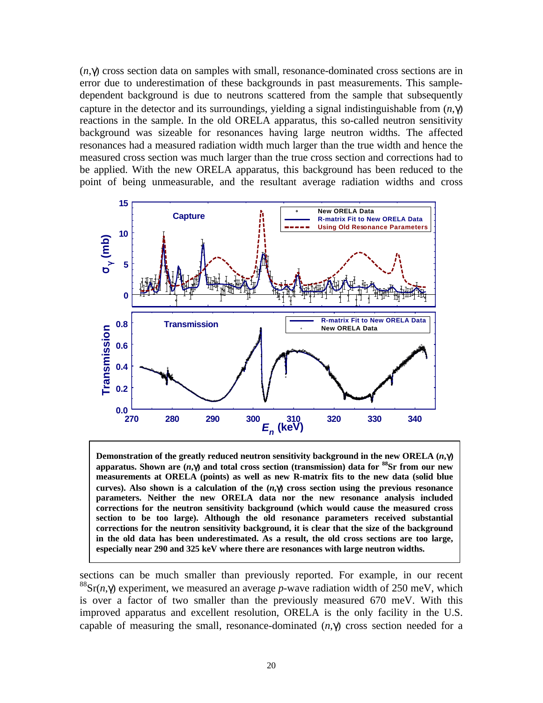(*n*,γ) cross section data on samples with small, resonance-dominated cross sections are in error due to underestimation of these backgrounds in past measurements. This sampledependent background is due to neutrons scattered from the sample that subsequently capture in the detector and its surroundings, yielding a signal indistinguishable from (*n*,γ) reactions in the sample. In the old ORELA apparatus, this so-called neutron sensitivity background was sizeable for resonances having large neutron widths. The affected resonances had a measured radiation width much larger than the true width and hence the measured cross section was much larger than the true cross section and corrections had to be applied. With the new ORELA apparatus, this background has been reduced to the point of being unmeasurable, and the resultant average radiation widths and cross



**Demonstration of the greatly reduced neutron sensitivity background in the new ORELA (***n***,**γ**) apparatus. Shown are (***n***,**γ**) and total cross section (transmission) data for <sup>88</sup>Sr from our new measurements at ORELA (points) as well as new R-matrix fits to the new data (solid blue curves).** Also shown is a calculation of the  $(n, \gamma)$  cross section using the previous resonance **parameters. Neither the new ORELA data nor the new resonance analysis included corrections for the neutron sensitivity background (which would cause the measured cross section to be too large). Although the old resonance parameters received substantial corrections for the neutron sensitivity background, it is clear that the size of the background in the old data has been underestimated. As a result, the old cross sections are too large, especially near 290 and 325 keV where there are resonances with large neutron widths.**

sections can be much smaller than previously reported. For example, in our recent <sup>88</sup>Sr(*n*, $\gamma$ ) experiment, we measured an average *p*-wave radiation width of 250 meV, which is over a factor of two smaller than the previously measured 670 meV. With this improved apparatus and excellent resolution, ORELA is the only facility in the U.S. capable of measuring the small, resonance-dominated  $(n, \gamma)$  cross section needed for a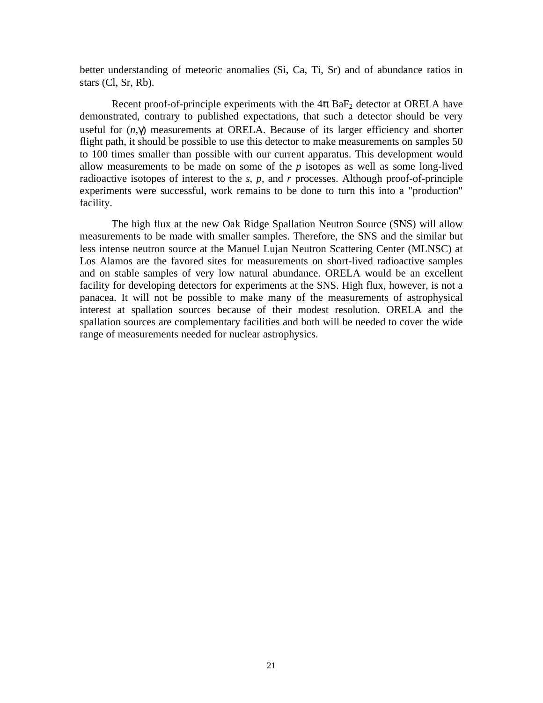better understanding of meteoric anomalies (Si, Ca, Ti, Sr) and of abundance ratios in stars (Cl, Sr, Rb).

Recent proof-of-principle experiments with the  $4\pi$  BaF<sub>2</sub> detector at ORELA have demonstrated, contrary to published expectations, that such a detector should be very useful for (*n*,γ) measurements at ORELA. Because of its larger efficiency and shorter flight path, it should be possible to use this detector to make measurements on samples 50 to 100 times smaller than possible with our current apparatus. This development would allow measurements to be made on some of the *p* isotopes as well as some long-lived radioactive isotopes of interest to the *s*, *p*, and *r* processes. Although proof-of-principle experiments were successful, work remains to be done to turn this into a "production" facility.

The high flux at the new Oak Ridge Spallation Neutron Source (SNS) will allow measurements to be made with smaller samples. Therefore, the SNS and the similar but less intense neutron source at the Manuel Lujan Neutron Scattering Center (MLNSC) at Los Alamos are the favored sites for measurements on short-lived radioactive samples and on stable samples of very low natural abundance. ORELA would be an excellent facility for developing detectors for experiments at the SNS. High flux, however, is not a panacea. It will not be possible to make many of the measurements of astrophysical interest at spallation sources because of their modest resolution. ORELA and the spallation sources are complementary facilities and both will be needed to cover the wide range of measurements needed for nuclear astrophysics.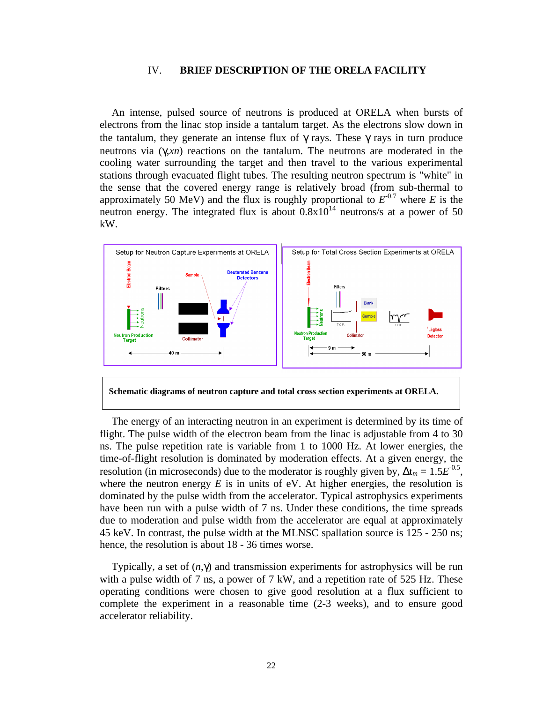#### IV. **BRIEF DESCRIPTION OF THE ORELA FACILITY**

An intense, pulsed source of neutrons is produced at ORELA when bursts of electrons from the linac stop inside a tantalum target. As the electrons slow down in the tantalum, they generate an intense flux of  $\gamma$  rays. These  $\gamma$  rays in turn produce neutrons via (γ,*xn*) reactions on the tantalum. The neutrons are moderated in the cooling water surrounding the target and then travel to the various experimental stations through evacuated flight tubes. The resulting neutron spectrum is "white" in the sense that the covered energy range is relatively broad (from sub-thermal to approximately 50 MeV) and the flux is roughly proportional to  $E^{0.7}$  where *E* is the neutron energy. The integrated flux is about  $0.8 \times 10^{14}$  neutrons/s at a power of 50 kW.





The energy of an interacting neutron in an experiment is determined by its time of flight. The pulse width of the electron beam from the linac is adjustable from 4 to 30 ns. The pulse repetition rate is variable from 1 to 1000 Hz. At lower energies, the time-of-flight resolution is dominated by moderation effects. At a given energy, the resolution (in microseconds) due to the moderator is roughly given by,  $\Delta t_m = 1.5E^{0.5}$ , where the neutron energy  $E$  is in units of eV. At higher energies, the resolution is dominated by the pulse width from the accelerator. Typical astrophysics experiments have been run with a pulse width of 7 ns. Under these conditions, the time spreads due to moderation and pulse width from the accelerator are equal at approximately 45 keV. In contrast, the pulse width at the MLNSC spallation source is 125 - 250 ns; hence, the resolution is about 18 - 36 times worse.

Typically, a set of  $(n, \gamma)$  and transmission experiments for astrophysics will be run with a pulse width of 7 ns, a power of 7 kW, and a repetition rate of 525 Hz. These operating conditions were chosen to give good resolution at a flux sufficient to complete the experiment in a reasonable time (2-3 weeks), and to ensure good accelerator reliability.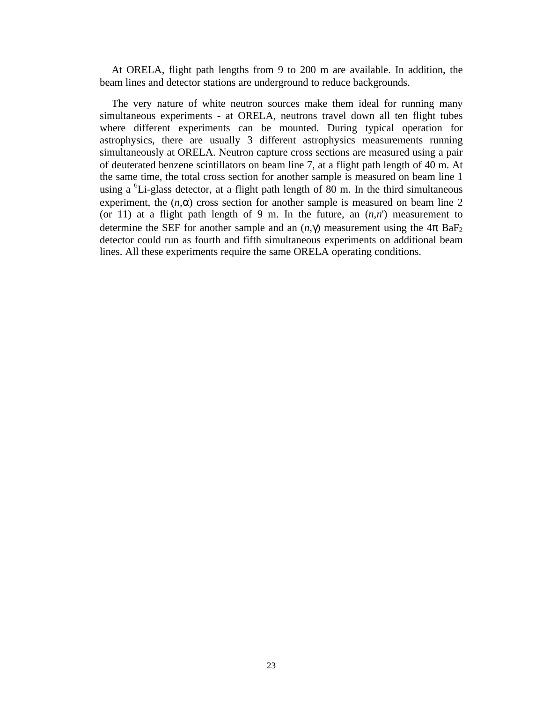At ORELA, flight path lengths from 9 to 200 m are available. In addition, the beam lines and detector stations are underground to reduce backgrounds.

The very nature of white neutron sources make them ideal for running many simultaneous experiments - at ORELA, neutrons travel down all ten flight tubes where different experiments can be mounted. During typical operation for astrophysics, there are usually 3 different astrophysics measurements running simultaneously at ORELA. Neutron capture cross sections are measured using a pair of deuterated benzene scintillators on beam line 7, at a flight path length of 40 m. At the same time, the total cross section for another sample is measured on beam line 1 using a <sup>6</sup>Li-glass detector, at a flight path length of 80 m. In the third simultaneous experiment, the  $(n, \alpha)$  cross section for another sample is measured on beam line 2 (or 11) at a flight path length of 9 m. In the future, an  $(n,n')$  measurement to determine the SEF for another sample and an  $(n, \gamma)$  measurement using the  $4\pi$  BaF<sub>2</sub> detector could run as fourth and fifth simultaneous experiments on additional beam lines. All these experiments require the same ORELA operating conditions.